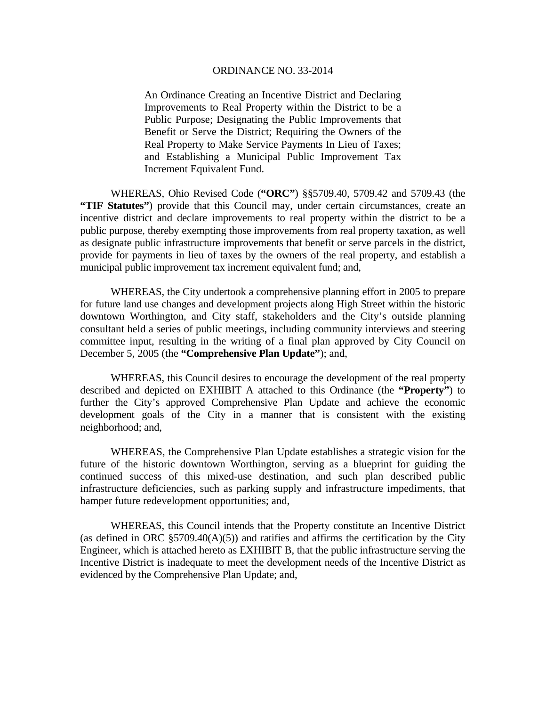An Ordinance Creating an Incentive District and Declaring Improvements to Real Property within the District to be a Public Purpose; Designating the Public Improvements that Benefit or Serve the District; Requiring the Owners of the Real Property to Make Service Payments In Lieu of Taxes; and Establishing a Municipal Public Improvement Tax Increment Equivalent Fund.

 WHEREAS, Ohio Revised Code (**"ORC"**) §§5709.40, 5709.42 and 5709.43 (the **"TIF Statutes"**) provide that this Council may, under certain circumstances, create an incentive district and declare improvements to real property within the district to be a public purpose, thereby exempting those improvements from real property taxation, as well as designate public infrastructure improvements that benefit or serve parcels in the district, provide for payments in lieu of taxes by the owners of the real property, and establish a municipal public improvement tax increment equivalent fund; and,

 WHEREAS, the City undertook a comprehensive planning effort in 2005 to prepare for future land use changes and development projects along High Street within the historic downtown Worthington, and City staff, stakeholders and the City's outside planning consultant held a series of public meetings, including community interviews and steering committee input, resulting in the writing of a final plan approved by City Council on December 5, 2005 (the **"Comprehensive Plan Update"**); and,

 WHEREAS, this Council desires to encourage the development of the real property described and depicted on EXHIBIT A attached to this Ordinance (the **"Property"**) to further the City's approved Comprehensive Plan Update and achieve the economic development goals of the City in a manner that is consistent with the existing neighborhood; and,

 WHEREAS, the Comprehensive Plan Update establishes a strategic vision for the future of the historic downtown Worthington, serving as a blueprint for guiding the continued success of this mixed-use destination, and such plan described public infrastructure deficiencies, such as parking supply and infrastructure impediments, that hamper future redevelopment opportunities; and,

 WHEREAS, this Council intends that the Property constitute an Incentive District (as defined in ORC  $\S 5709.40(A)(5)$ ) and ratifies and affirms the certification by the City Engineer, which is attached hereto as EXHIBIT B, that the public infrastructure serving the Incentive District is inadequate to meet the development needs of the Incentive District as evidenced by the Comprehensive Plan Update; and,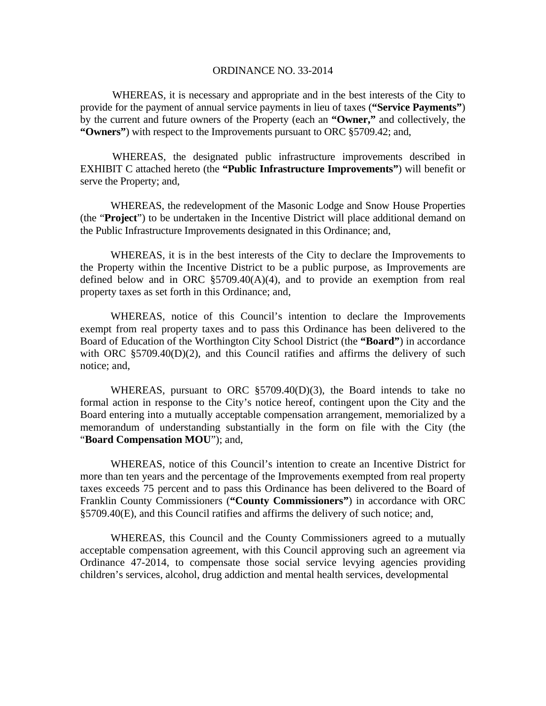WHEREAS, it is necessary and appropriate and in the best interests of the City to provide for the payment of annual service payments in lieu of taxes (**"Service Payments"**) by the current and future owners of the Property (each an **"Owner,"** and collectively, the **"Owners"**) with respect to the Improvements pursuant to ORC §5709.42; and,

 WHEREAS, the designated public infrastructure improvements described in EXHIBIT C attached hereto (the **"Public Infrastructure Improvements"**) will benefit or serve the Property; and,

 WHEREAS, the redevelopment of the Masonic Lodge and Snow House Properties (the "**Project**") to be undertaken in the Incentive District will place additional demand on the Public Infrastructure Improvements designated in this Ordinance; and,

 WHEREAS, it is in the best interests of the City to declare the Improvements to the Property within the Incentive District to be a public purpose, as Improvements are defined below and in ORC  $\S5709.40(A)(4)$ , and to provide an exemption from real property taxes as set forth in this Ordinance; and,

 WHEREAS, notice of this Council's intention to declare the Improvements exempt from real property taxes and to pass this Ordinance has been delivered to the Board of Education of the Worthington City School District (the **"Board"**) in accordance with ORC  $\S 5709.40(D)(2)$ , and this Council ratifies and affirms the delivery of such notice; and,

 WHEREAS, pursuant to ORC §5709.40(D)(3), the Board intends to take no formal action in response to the City's notice hereof, contingent upon the City and the Board entering into a mutually acceptable compensation arrangement, memorialized by a memorandum of understanding substantially in the form on file with the City (the "**Board Compensation MOU**"); and,

 WHEREAS, notice of this Council's intention to create an Incentive District for more than ten years and the percentage of the Improvements exempted from real property taxes exceeds 75 percent and to pass this Ordinance has been delivered to the Board of Franklin County Commissioners (**"County Commissioners"**) in accordance with ORC §5709.40(E), and this Council ratifies and affirms the delivery of such notice; and,

 WHEREAS, this Council and the County Commissioners agreed to a mutually acceptable compensation agreement, with this Council approving such an agreement via Ordinance 47-2014, to compensate those social service levying agencies providing children's services, alcohol, drug addiction and mental health services, developmental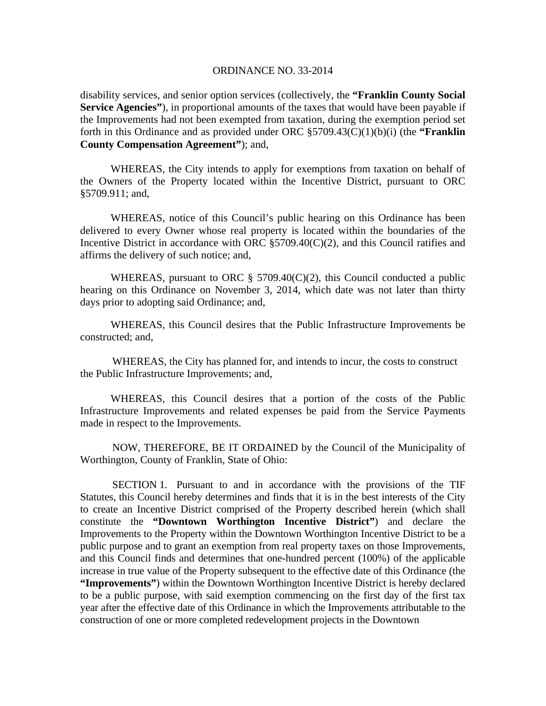disability services, and senior option services (collectively, the **"Franklin County Social Service Agencies"**), in proportional amounts of the taxes that would have been payable if the Improvements had not been exempted from taxation, during the exemption period set forth in this Ordinance and as provided under ORC §5709.43(C)(1)(b)(i) (the **"Franklin County Compensation Agreement"**); and,

 WHEREAS, the City intends to apply for exemptions from taxation on behalf of the Owners of the Property located within the Incentive District, pursuant to ORC §5709.911; and,

 WHEREAS, notice of this Council's public hearing on this Ordinance has been delivered to every Owner whose real property is located within the boundaries of the Incentive District in accordance with ORC §5709.40(C)(2), and this Council ratifies and affirms the delivery of such notice; and,

WHEREAS, pursuant to ORC  $\S$  5709.40(C)(2), this Council conducted a public hearing on this Ordinance on November 3, 2014, which date was not later than thirty days prior to adopting said Ordinance; and,

 WHEREAS, this Council desires that the Public Infrastructure Improvements be constructed; and,

 WHEREAS, the City has planned for, and intends to incur, the costs to construct the Public Infrastructure Improvements; and,

 WHEREAS, this Council desires that a portion of the costs of the Public Infrastructure Improvements and related expenses be paid from the Service Payments made in respect to the Improvements.

 NOW, THEREFORE, BE IT ORDAINED by the Council of the Municipality of Worthington, County of Franklin, State of Ohio:

 SECTION 1. Pursuant to and in accordance with the provisions of the TIF Statutes, this Council hereby determines and finds that it is in the best interests of the City to create an Incentive District comprised of the Property described herein (which shall constitute the **"Downtown Worthington Incentive District"**) and declare the Improvements to the Property within the Downtown Worthington Incentive District to be a public purpose and to grant an exemption from real property taxes on those Improvements, and this Council finds and determines that one-hundred percent (100%) of the applicable increase in true value of the Property subsequent to the effective date of this Ordinance (the **"Improvements"**) within the Downtown Worthington Incentive District is hereby declared to be a public purpose, with said exemption commencing on the first day of the first tax year after the effective date of this Ordinance in which the Improvements attributable to the construction of one or more completed redevelopment projects in the Downtown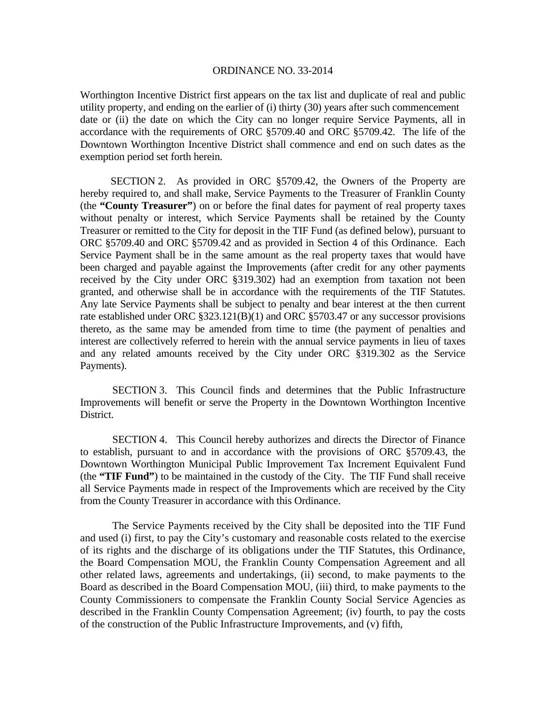Worthington Incentive District first appears on the tax list and duplicate of real and public utility property, and ending on the earlier of (i) thirty (30) years after such commencement date or (ii) the date on which the City can no longer require Service Payments, all in accordance with the requirements of ORC §5709.40 and ORC §5709.42. The life of the Downtown Worthington Incentive District shall commence and end on such dates as the exemption period set forth herein.

 SECTION 2. As provided in ORC §5709.42, the Owners of the Property are hereby required to, and shall make, Service Payments to the Treasurer of Franklin County (the **"County Treasurer"**) on or before the final dates for payment of real property taxes without penalty or interest, which Service Payments shall be retained by the County Treasurer or remitted to the City for deposit in the TIF Fund (as defined below), pursuant to ORC §5709.40 and ORC §5709.42 and as provided in Section 4 of this Ordinance. Each Service Payment shall be in the same amount as the real property taxes that would have been charged and payable against the Improvements (after credit for any other payments received by the City under ORC §319.302) had an exemption from taxation not been granted, and otherwise shall be in accordance with the requirements of the TIF Statutes. Any late Service Payments shall be subject to penalty and bear interest at the then current rate established under ORC §323.121(B)(1) and ORC §5703.47 or any successor provisions thereto, as the same may be amended from time to time (the payment of penalties and interest are collectively referred to herein with the annual service payments in lieu of taxes and any related amounts received by the City under ORC §319.302 as the Service Payments).

 SECTION 3. This Council finds and determines that the Public Infrastructure Improvements will benefit or serve the Property in the Downtown Worthington Incentive District.

 SECTION 4. This Council hereby authorizes and directs the Director of Finance to establish, pursuant to and in accordance with the provisions of ORC §5709.43, the Downtown Worthington Municipal Public Improvement Tax Increment Equivalent Fund (the **"TIF Fund"**) to be maintained in the custody of the City. The TIF Fund shall receive all Service Payments made in respect of the Improvements which are received by the City from the County Treasurer in accordance with this Ordinance.

 The Service Payments received by the City shall be deposited into the TIF Fund and used (i) first, to pay the City's customary and reasonable costs related to the exercise of its rights and the discharge of its obligations under the TIF Statutes, this Ordinance, the Board Compensation MOU, the Franklin County Compensation Agreement and all other related laws, agreements and undertakings, (ii) second, to make payments to the Board as described in the Board Compensation MOU, (iii) third, to make payments to the County Commissioners to compensate the Franklin County Social Service Agencies as described in the Franklin County Compensation Agreement; (iv) fourth, to pay the costs of the construction of the Public Infrastructure Improvements, and (v) fifth,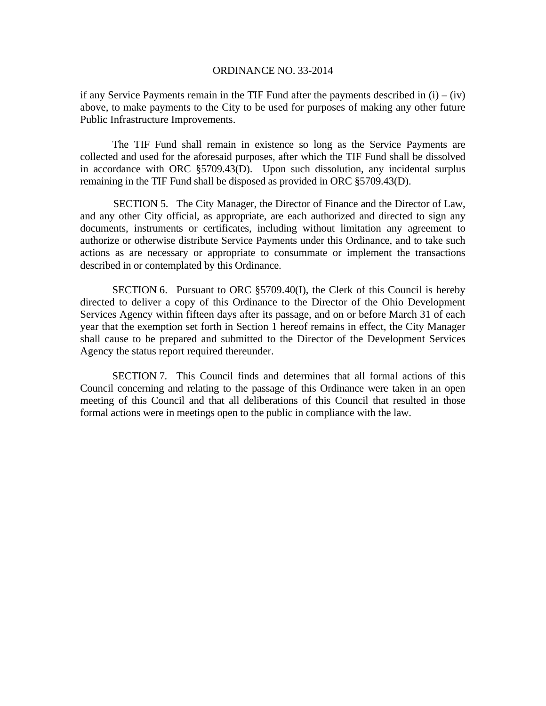if any Service Payments remain in the TIF Fund after the payments described in  $(i) - (iv)$ above, to make payments to the City to be used for purposes of making any other future Public Infrastructure Improvements.

 The TIF Fund shall remain in existence so long as the Service Payments are collected and used for the aforesaid purposes, after which the TIF Fund shall be dissolved in accordance with ORC §5709.43(D). Upon such dissolution, any incidental surplus remaining in the TIF Fund shall be disposed as provided in ORC §5709.43(D).

 SECTION 5. The City Manager, the Director of Finance and the Director of Law, and any other City official, as appropriate, are each authorized and directed to sign any documents, instruments or certificates, including without limitation any agreement to authorize or otherwise distribute Service Payments under this Ordinance, and to take such actions as are necessary or appropriate to consummate or implement the transactions described in or contemplated by this Ordinance.

SECTION 6. Pursuant to ORC §5709.40(I), the Clerk of this Council is hereby directed to deliver a copy of this Ordinance to the Director of the Ohio Development Services Agency within fifteen days after its passage, and on or before March 31 of each year that the exemption set forth in Section 1 hereof remains in effect, the City Manager shall cause to be prepared and submitted to the Director of the Development Services Agency the status report required thereunder.

 SECTION 7. This Council finds and determines that all formal actions of this Council concerning and relating to the passage of this Ordinance were taken in an open meeting of this Council and that all deliberations of this Council that resulted in those formal actions were in meetings open to the public in compliance with the law.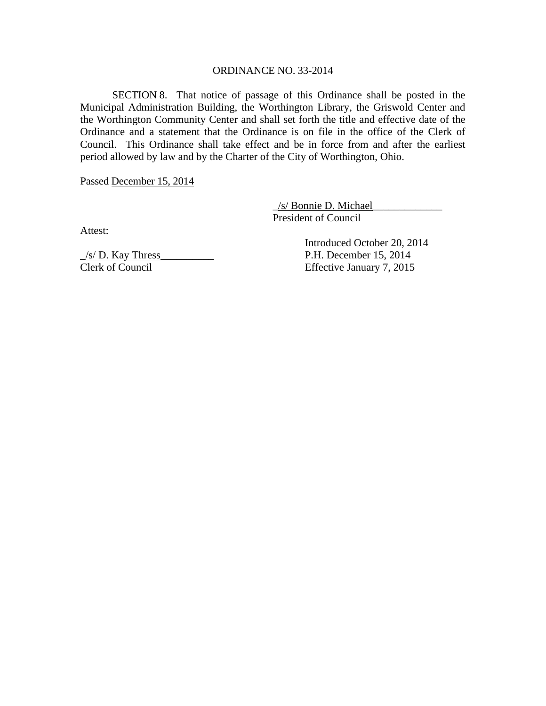SECTION 8. That notice of passage of this Ordinance shall be posted in the Municipal Administration Building, the Worthington Library, the Griswold Center and the Worthington Community Center and shall set forth the title and effective date of the Ordinance and a statement that the Ordinance is on file in the office of the Clerk of Council. This Ordinance shall take effect and be in force from and after the earliest period allowed by law and by the Charter of the City of Worthington, Ohio.

Passed December 15, 2014

 \_/s/ Bonnie D. Michael\_\_\_\_\_\_\_\_\_\_\_\_\_ President of Council

Attest:

 $\frac{1}{s}$  D. Kay Thress P.H. December 15, 2014 Clerk of Council Effective January 7, 2015

Introduced October 20, 2014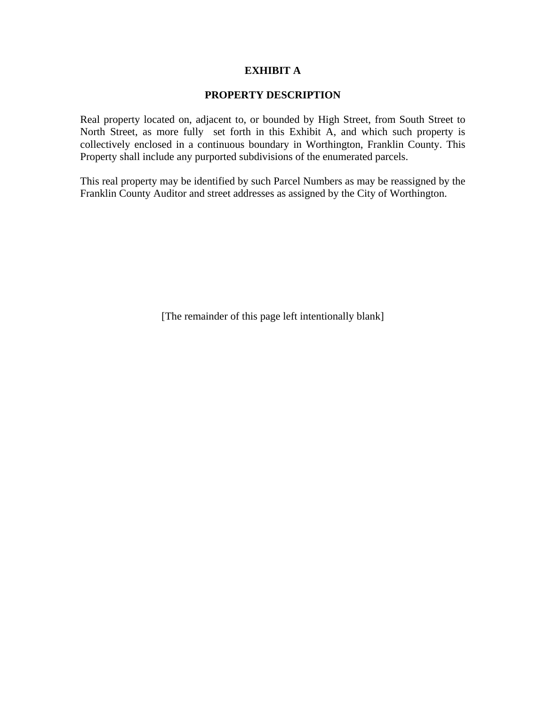# **EXHIBIT A**

### **PROPERTY DESCRIPTION**

Real property located on, adjacent to, or bounded by High Street, from South Street to North Street, as more fully set forth in this Exhibit A, and which such property is collectively enclosed in a continuous boundary in Worthington, Franklin County. This Property shall include any purported subdivisions of the enumerated parcels.

This real property may be identified by such Parcel Numbers as may be reassigned by the Franklin County Auditor and street addresses as assigned by the City of Worthington.

[The remainder of this page left intentionally blank]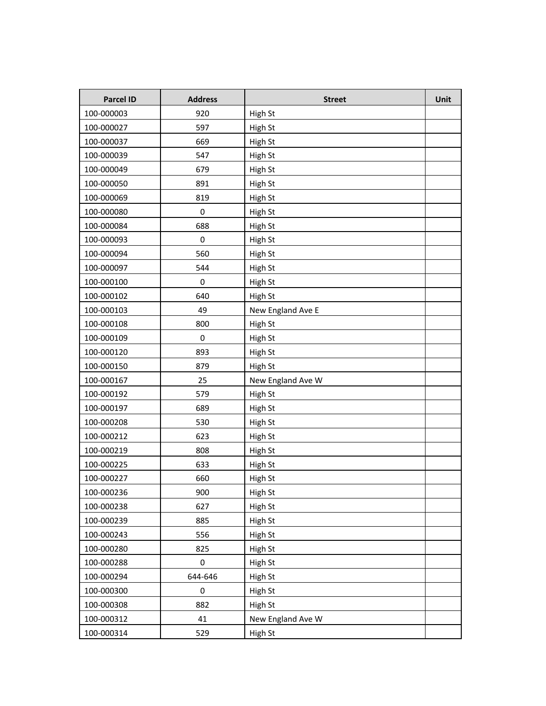| Parcel ID  | <b>Address</b>   | <b>Street</b>     | Unit |
|------------|------------------|-------------------|------|
| 100-000003 | 920              | High St           |      |
| 100-000027 | 597              | High St           |      |
| 100-000037 | 669              | High St           |      |
| 100-000039 | 547              | High St           |      |
| 100-000049 | 679              | High St           |      |
| 100-000050 | 891              | High St           |      |
| 100-000069 | 819              | High St           |      |
| 100-000080 | $\boldsymbol{0}$ | High St           |      |
| 100-000084 | 688              | High St           |      |
| 100-000093 | 0                | High St           |      |
| 100-000094 | 560              | High St           |      |
| 100-000097 | 544              | High St           |      |
| 100-000100 | 0                | High St           |      |
| 100-000102 | 640              | High St           |      |
| 100-000103 | 49               | New England Ave E |      |
| 100-000108 | 800              | High St           |      |
| 100-000109 | $\boldsymbol{0}$ | High St           |      |
| 100-000120 | 893              | High St           |      |
| 100-000150 | 879              | High St           |      |
| 100-000167 | 25               | New England Ave W |      |
| 100-000192 | 579              | High St           |      |
| 100-000197 | 689              | High St           |      |
| 100-000208 | 530              | High St           |      |
| 100-000212 | 623              | High St           |      |
| 100-000219 | 808              | High St           |      |
| 100-000225 | 633              | High St           |      |
| 100-000227 | 660              | High St           |      |
| 100-000236 | 900              | High St           |      |
| 100-000238 | 627              | High St           |      |
| 100-000239 | 885              | High St           |      |
| 100-000243 | 556              | High St           |      |
| 100-000280 | 825              | High St           |      |
| 100-000288 | 0                | High St           |      |
| 100-000294 | 644-646          | High St           |      |
| 100-000300 | 0                | High St           |      |
| 100-000308 | 882              | High St           |      |
| 100-000312 | 41               | New England Ave W |      |
| 100-000314 | 529              | High St           |      |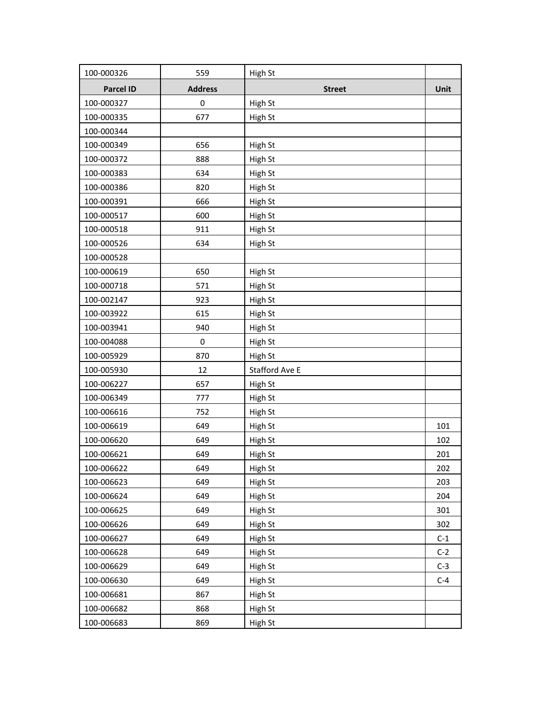| 100-000326 | 559            | High St        |       |
|------------|----------------|----------------|-------|
| Parcel ID  | <b>Address</b> | <b>Street</b>  | Unit  |
| 100-000327 | 0              | High St        |       |
| 100-000335 | 677            | High St        |       |
| 100-000344 |                |                |       |
| 100-000349 | 656            | High St        |       |
| 100-000372 | 888            | High St        |       |
| 100-000383 | 634            | High St        |       |
| 100-000386 | 820            | High St        |       |
| 100-000391 | 666            | High St        |       |
| 100-000517 | 600            | High St        |       |
| 100-000518 | 911            | High St        |       |
| 100-000526 | 634            | High St        |       |
| 100-000528 |                |                |       |
| 100-000619 | 650            | High St        |       |
| 100-000718 | 571            | High St        |       |
| 100-002147 | 923            | High St        |       |
| 100-003922 | 615            | High St        |       |
| 100-003941 | 940            | High St        |       |
| 100-004088 | 0              | High St        |       |
| 100-005929 | 870            | High St        |       |
| 100-005930 | 12             | Stafford Ave E |       |
| 100-006227 | 657            | High St        |       |
| 100-006349 | 777            | High St        |       |
| 100-006616 | 752            | High St        |       |
| 100-006619 | 649            | High St        | 101   |
| 100-006620 | 649            | High St        | 102   |
| 100-006621 | 649            | High St        | 201   |
| 100-006622 | 649            | High St        | 202   |
| 100-006623 | 649            | High St        | 203   |
| 100-006624 | 649            | High St        | 204   |
| 100-006625 | 649            | High St        | 301   |
| 100-006626 | 649            | High St        | 302   |
| 100-006627 | 649            | High St        | $C-1$ |
| 100-006628 | 649            | High St        | $C-2$ |
| 100-006629 | 649            | High St        | $C-3$ |
| 100-006630 | 649            | High St        | $C-4$ |
| 100-006681 | 867            | High St        |       |
| 100-006682 | 868            | High St        |       |
| 100-006683 | 869            | High St        |       |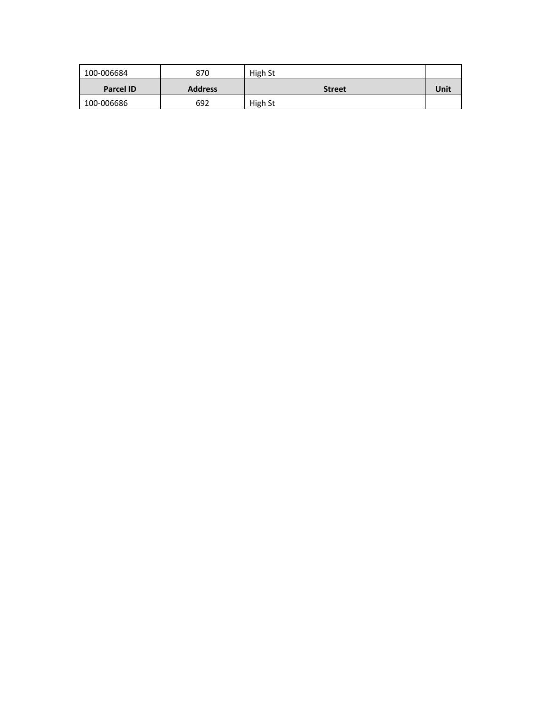| 100-006684       | 870            | High St       |      |
|------------------|----------------|---------------|------|
| <b>Parcel ID</b> | <b>Address</b> | <b>Street</b> | Unit |
| 100-006686       | 692            | High St       |      |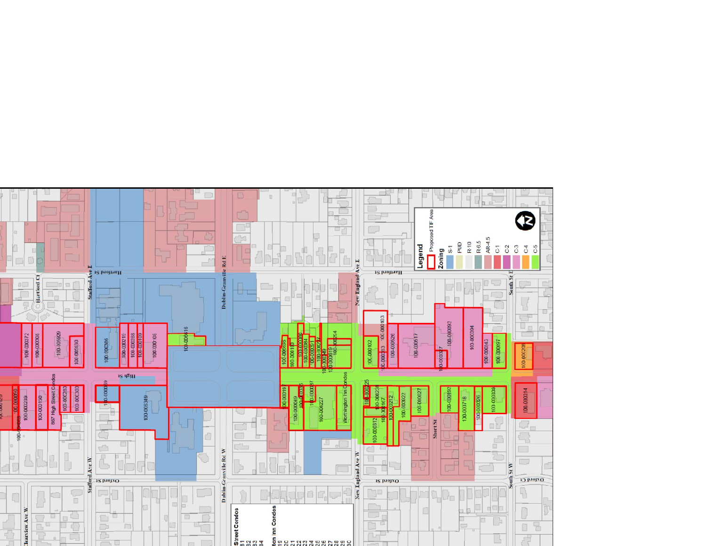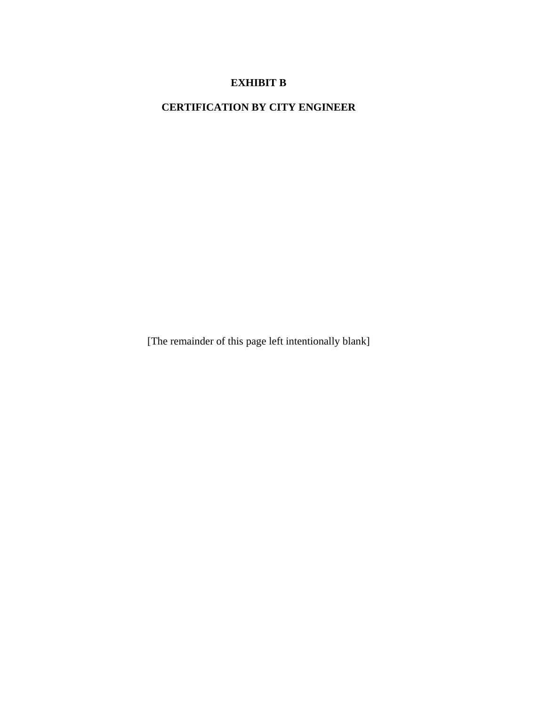# **EXHIBIT B**

**CERTIFICATION BY CITY ENGINEER** 

[The remainder of this page left intentionally blank]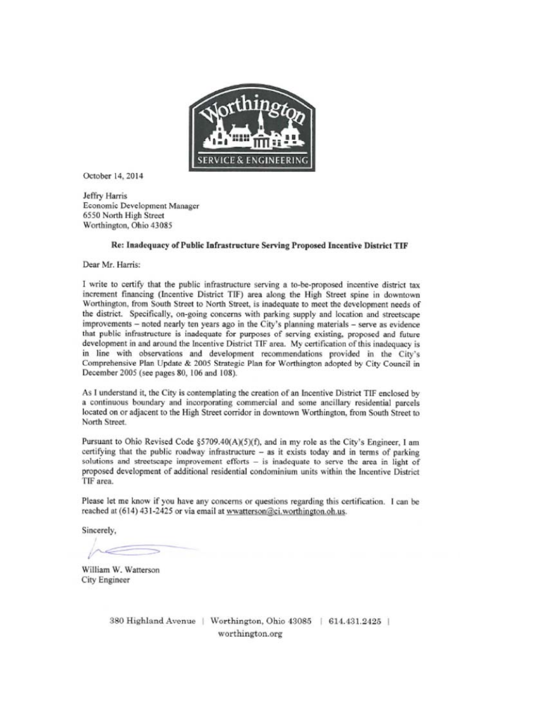

October 14, 2014

Jeffry Harris Economic Development Manager 6550 North High Street Worthington, Ohio 43085

#### Re: Inadequacy of Public Infrastructure Serving Proposed Incentive District TIF

Dear Mr. Harris:

I write to certify that the public infrastructure serving a to-be-proposed incentive district tax increment financing (Incentive District TIF) area along the High Street spine in downtown Worthington, from South Street to North Street, is inadequate to meet the development needs of the district. Specifically, on-going concerns with parking supply and location and streetscape improvements - noted nearly ten years ago in the City's planning materials - serve as evidence that public infrastructure is inadequate for purposes of serving existing, proposed and future development in and around the Incentive District TIF area. My certification of this inadequacy is in line with observations and development recommendations provided in the City's Comprehensive Plan Update & 2005 Strategic Plan for Worthington adopted by City Council in December 2005 (see pages 80, 106 and 108).

As I understand it, the City is contemplating the creation of an Incentive District TIF enclosed by a continuous boundary and incorporating commercial and some ancillary residential parcels located on or adjacent to the High Street corridor in downtown Worthington, from South Street to North Street.

Pursuant to Ohio Revised Code §5709.40(A)(5)(f), and in my role as the City's Engineer, I am certifying that the public roadway infrastructure - as it exists today and in terms of parking solutions and streetscape improvement efforts - is inadequate to serve the area in light of proposed development of additional residential condominium units within the Incentive District TIF area.

Please let me know if you have any concerns or questions regarding this certification. I can be reached at (614) 431-2425 or via email at wwatterson@ci.worthington.oh.us.

Sincerely,

William W. Watterson **City Engineer** 

380 Highland Avenue | Worthington, Ohio 43085 | 614.431.2425 | worthington.org